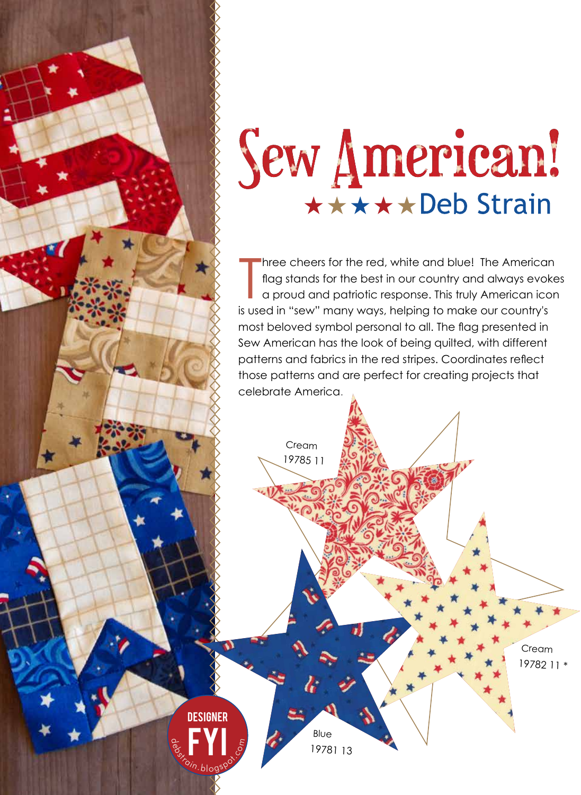## Sew American! \*\*\*\*\*Deb Strain

Three cheers for the red, white and blue! The Americar<br>flag stands for the best in our country and always evok<br>a proud and patriotic response. This truly American icc<br>is used in "sew" many ways, helping to make our country hree cheers for the red, white and blue! The American flag stands for the best in our country and always evokes a proud and patriotic response. This truly American icon most beloved symbol personal to all. The flag presented in Sew American has the look of being quilted, with different patterns and fabrics in the red stripes. Coordinates reflect those patterns and are perfect for creating projects that celebrate America.



 $\Omega$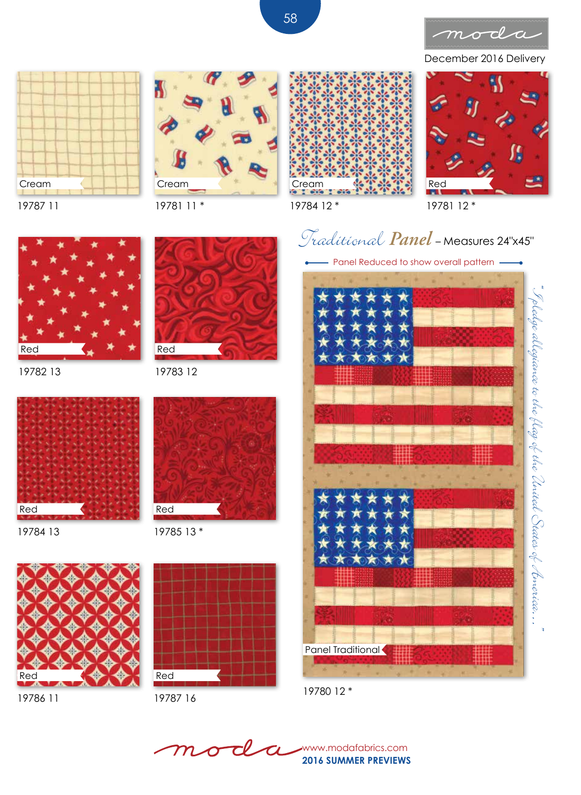

December 2016 Delivery





19781 11 \*

19783 12

19785 13 \*

Red

Red







19784 12 \*

19781 12 \*



19782 13



19784 13





19786 11



Red



Panel Reduced to show overall pattern -



19780 12 \*

T www.modafabrics.com  ${\boldsymbol{\mathcal{m}}}$  $\boldsymbol{\sigma}$ **2016 SUMMER PREVIEWS**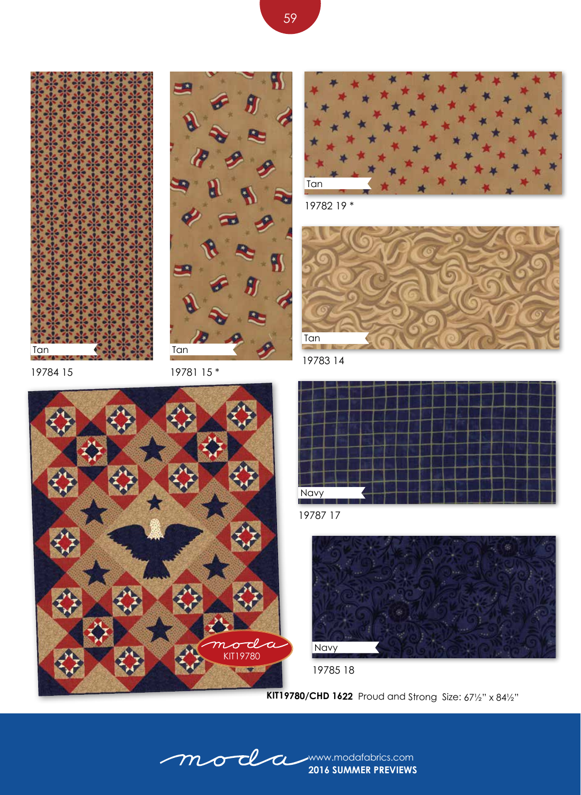







19782 19 \*



19783 14

19784 15

19781 15 \*





19787 17



19785 18

**KIT19780/CHD 1622** Proud and Strong Size: 67½" x 84½"

**2016 SUMMER PREVIEWS** mode a www.modafabrics.com